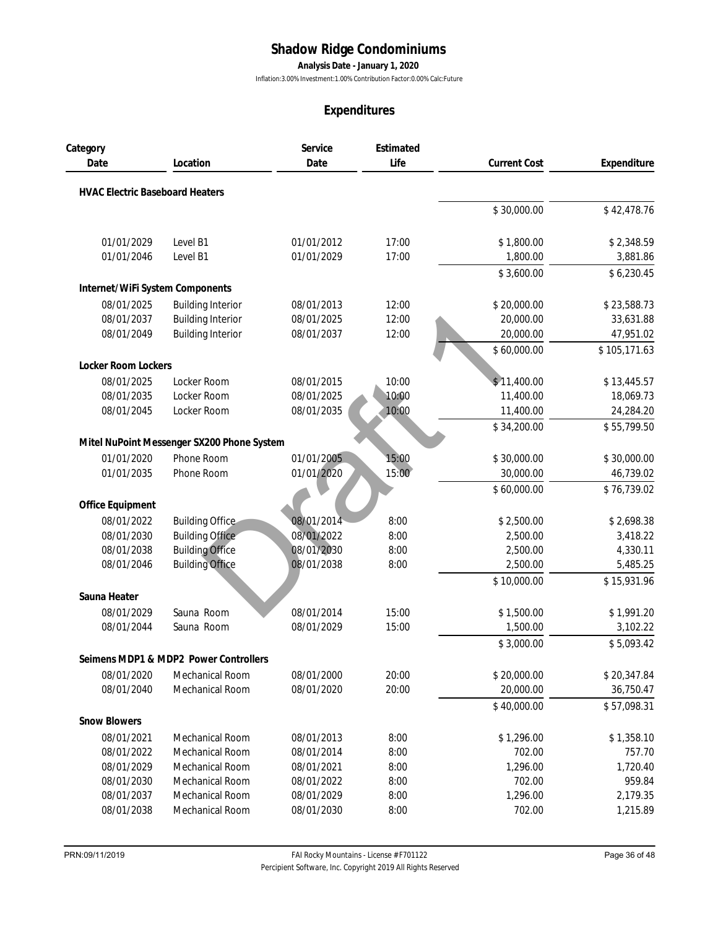**Analysis Date - January 1, 2020**

Inflation:3.00% Investment:1.00% Contribution Factor:0.00% Calc:Future

|                                        |                                            |            | Expenditures |                     |              |
|----------------------------------------|--------------------------------------------|------------|--------------|---------------------|--------------|
| Category                               |                                            | Service    | Estimated    |                     |              |
| Date                                   | Location                                   | Date       | Life         | <b>Current Cost</b> | Expenditure  |
| <b>HVAC Electric Baseboard Heaters</b> |                                            |            |              |                     |              |
|                                        |                                            |            |              | \$30,000.00         | \$42,478.76  |
| 01/01/2029                             | Level B1                                   | 01/01/2012 | 17:00        | \$1,800.00          | \$2,348.59   |
| 01/01/2046                             | Level B1                                   | 01/01/2029 | 17:00        | 1,800.00            | 3,881.86     |
|                                        |                                            |            |              | \$3,600.00          | \$6,230.45   |
| Internet/WiFi System Components        |                                            |            |              |                     |              |
| 08/01/2025                             | <b>Building Interior</b>                   | 08/01/2013 | 12:00        | \$20,000.00         | \$23,588.73  |
| 08/01/2037                             | <b>Building Interior</b>                   | 08/01/2025 | 12:00        | 20,000.00           | 33,631.88    |
| 08/01/2049                             | <b>Building Interior</b>                   | 08/01/2037 | 12:00        | 20,000.00           | 47,951.02    |
|                                        |                                            |            |              | \$60,000.00         | \$105,171.63 |
| Locker Room Lockers                    |                                            |            |              |                     |              |
| 08/01/2025                             | Locker Room                                | 08/01/2015 | 10:00        | \$11,400.00         | \$13,445.57  |
| 08/01/2035                             | Locker Room                                | 08/01/2025 | 10:00        | 11,400.00           | 18,069.73    |
| 08/01/2045                             | Locker Room                                | 08/01/2035 | 10:00        | 11,400.00           | 24,284.20    |
|                                        |                                            |            |              | \$34,200.00         | \$55,799.50  |
|                                        | Mitel NuPoint Messenger SX200 Phone System |            |              |                     |              |
| 01/01/2020                             | Phone Room                                 | 01/01/2005 | 15:00        | \$30,000.00         | \$30,000.00  |
| 01/01/2035                             | Phone Room                                 | 01/01/2020 | 15:00        | 30,000.00           | 46,739.02    |
|                                        |                                            |            |              | \$60,000.00         | \$76,739.02  |
| Office Equipment                       |                                            |            |              |                     |              |
| 08/01/2022                             | <b>Building Office</b>                     | 08/01/2014 | 8:00         | \$2,500.00          | \$2,698.38   |
| 08/01/2030                             | <b>Building Office</b>                     | 08/01/2022 | 8:00         | 2,500.00            | 3,418.22     |
| 08/01/2038                             | <b>Building Office</b>                     | 08/01/2030 | 8:00         | 2,500.00            | 4,330.11     |
| 08/01/2046                             | <b>Building Office</b>                     | 08/01/2038 | 8:00         | 2,500.00            | 5,485.25     |
|                                        |                                            |            |              | \$10,000.00         | \$15,931.96  |
| Sauna Heater<br>08/01/2029             | Sauna Room                                 | 08/01/2014 | 15:00        | \$1,500.00          | \$1,991.20   |
| 08/01/2044                             | Sauna Room                                 | 08/01/2029 | 15:00        | 1,500.00            | 3,102.22     |
|                                        |                                            |            |              | \$3,000.00          | \$5,093.42   |
|                                        | Seimens MDP1 & MDP2 Power Controllers      |            |              |                     |              |
| 08/01/2020                             | <b>Mechanical Room</b>                     | 08/01/2000 | 20:00        | \$20,000.00         | \$20,347.84  |
| 08/01/2040                             | Mechanical Room                            | 08/01/2020 | 20:00        | 20,000.00           | 36,750.47    |
|                                        |                                            |            |              | \$40,000.00         | \$57,098.31  |
| <b>Snow Blowers</b>                    |                                            |            |              |                     |              |
| 08/01/2021                             | <b>Mechanical Room</b>                     | 08/01/2013 | 8:00         | \$1,296.00          | \$1,358.10   |
| 08/01/2022                             | <b>Mechanical Room</b>                     | 08/01/2014 | 8:00         | 702.00              | 757.70       |
| 08/01/2029                             | Mechanical Room                            | 08/01/2021 | 8:00         | 1,296.00            | 1,720.40     |
| 08/01/2030                             | Mechanical Room                            | 08/01/2022 | 8:00         | 702.00              | 959.84       |
| 08/01/2037                             | Mechanical Room                            | 08/01/2029 | 8:00         | 1,296.00            | 2,179.35     |
| 08/01/2038                             | Mechanical Room                            | 08/01/2030 | 8:00         | 702.00              | 1,215.89     |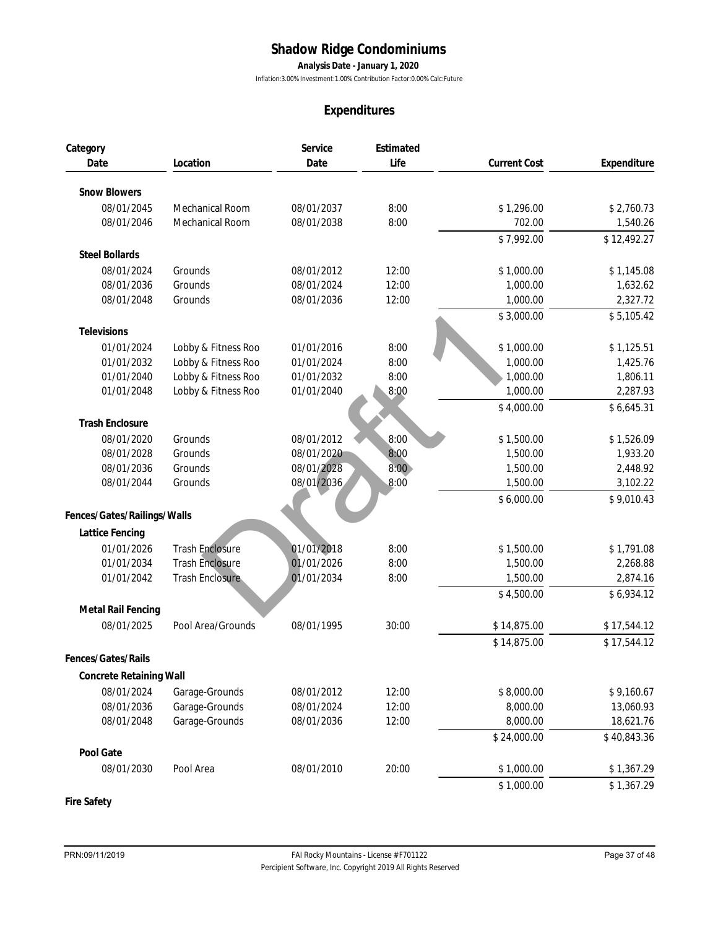**Analysis Date - January 1, 2020**

Inflation:3.00% Investment:1.00% Contribution Factor:0.00% Calc:Future

## **Expenditures**

|                                |                        |            | Expenditures |                     |             |
|--------------------------------|------------------------|------------|--------------|---------------------|-------------|
| Category                       |                        | Service    | Estimated    |                     |             |
| Date                           | Location               | Date       | Life         | <b>Current Cost</b> | Expenditure |
| <b>Snow Blowers</b>            |                        |            |              |                     |             |
| 08/01/2045                     | Mechanical Room        | 08/01/2037 | 8:00         | \$1,296.00          | \$2,760.73  |
| 08/01/2046                     | <b>Mechanical Room</b> | 08/01/2038 | 8:00         | 702.00              | 1,540.26    |
|                                |                        |            |              | \$7,992.00          | \$12,492.27 |
| <b>Steel Bollards</b>          |                        |            |              |                     |             |
| 08/01/2024                     | Grounds                | 08/01/2012 | 12:00        | \$1,000.00          | \$1,145.08  |
| 08/01/2036                     | Grounds                | 08/01/2024 | 12:00        | 1,000.00            | 1,632.62    |
| 08/01/2048                     | Grounds                | 08/01/2036 | 12:00        | 1,000.00            | 2,327.72    |
|                                |                        |            |              | \$3,000.00          | \$5,105.42  |
| Televisions                    |                        |            |              |                     |             |
| 01/01/2024                     | Lobby & Fitness Roo    | 01/01/2016 | 8:00         | \$1,000.00          | \$1,125.51  |
| 01/01/2032                     | Lobby & Fitness Roo    | 01/01/2024 | 8:00         | 1,000.00            | 1,425.76    |
| 01/01/2040                     | Lobby & Fitness Roo    | 01/01/2032 | 8:00         | 1,000.00            | 1,806.11    |
| 01/01/2048                     | Lobby & Fitness Roo    | 01/01/2040 | 8:00         | 1,000.00            | 2,287.93    |
|                                |                        |            |              | \$4,000.00          | \$6,645.31  |
| <b>Trash Enclosure</b>         |                        |            |              |                     |             |
| 08/01/2020                     | Grounds                | 08/01/2012 | 8:00         | \$1,500.00          | \$1,526.09  |
| 08/01/2028                     | Grounds                | 08/01/2020 | 8:00         | 1,500.00            | 1,933.20    |
| 08/01/2036                     | Grounds                | 08/01/2028 | 8:00         | 1,500.00            | 2,448.92    |
| 08/01/2044                     | Grounds                | 08/01/2036 | 8:00         | 1,500.00            | 3,102.22    |
|                                |                        |            |              | \$6,000.00          | \$9,010.43  |
| Fences/Gates/Railings/Walls    |                        |            |              |                     |             |
| Lattice Fencing                |                        |            |              |                     |             |
| 01/01/2026                     | <b>Trash Enclosure</b> | 01/01/2018 | 8:00         | \$1,500.00          | \$1,791.08  |
| 01/01/2034                     | <b>Trash Enclosure</b> | 01/01/2026 | 8:00         | 1,500.00            | 2,268.88    |
| 01/01/2042                     | <b>Trash Enclosure</b> | 01/01/2034 | 8:00         | 1,500.00            | 2,874.16    |
|                                |                        |            |              | \$4,500.00          | \$6,934.12  |
| Metal Rail Fencing             |                        |            |              |                     |             |
| 08/01/2025                     | Pool Area/Grounds      | 08/01/1995 | 30:00        | \$14,875.00         | \$17,544.12 |
|                                |                        |            |              | \$14,875.00         | \$17,544.12 |
| Fences/Gates/Rails             |                        |            |              |                     |             |
| <b>Concrete Retaining Wall</b> |                        |            |              |                     |             |
| 08/01/2024                     | Garage-Grounds         | 08/01/2012 | 12:00        | \$8,000.00          | \$9,160.67  |
| 08/01/2036                     | Garage-Grounds         | 08/01/2024 | 12:00        | 8,000.00            | 13,060.93   |
| 08/01/2048                     | Garage-Grounds         | 08/01/2036 | 12:00        | 8,000.00            | 18,621.76   |
|                                |                        |            |              | \$24,000.00         | \$40,843.36 |
| Pool Gate                      |                        |            |              |                     |             |
| 08/01/2030                     | Pool Area              | 08/01/2010 | 20:00        | \$1,000.00          | \$1,367.29  |
|                                |                        |            |              | \$1,000.00          | \$1,367.29  |

**Fire Safety**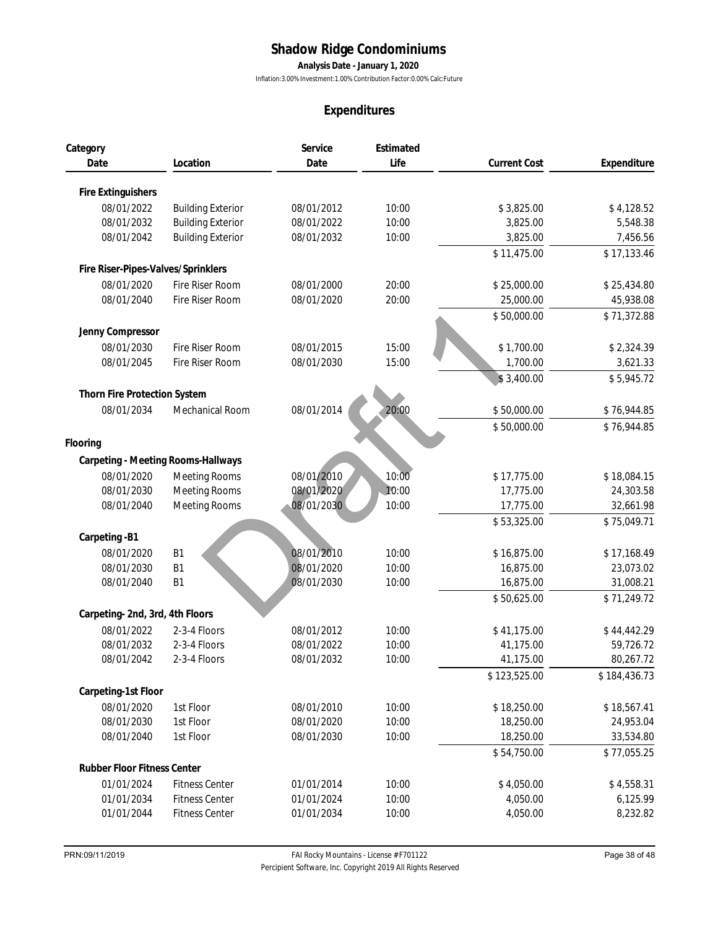**Analysis Date - January 1, 2020**

Inflation:3.00% Investment:1.00% Contribution Factor:0.00% Calc:Future

|                                    |                          | Expenditures |           |                     |              |
|------------------------------------|--------------------------|--------------|-----------|---------------------|--------------|
| Category                           |                          | Service      | Estimated |                     |              |
| Date                               | Location                 | Date         | Life      | <b>Current Cost</b> | Expenditure  |
| Fire Extinguishers                 |                          |              |           |                     |              |
| 08/01/2022                         | <b>Building Exterior</b> | 08/01/2012   | 10:00     | \$3,825.00          | \$4,128.52   |
| 08/01/2032                         | <b>Building Exterior</b> | 08/01/2022   | 10:00     | 3,825.00            | 5,548.38     |
| 08/01/2042                         | <b>Building Exterior</b> | 08/01/2032   | 10:00     | 3,825.00            | 7,456.56     |
|                                    |                          |              |           | \$11,475.00         | \$17,133.46  |
| Fire Riser-Pipes-Valves/Sprinklers |                          |              |           |                     |              |
| 08/01/2020                         | Fire Riser Room          | 08/01/2000   | 20:00     | \$25,000.00         | \$25,434.80  |
| 08/01/2040                         | Fire Riser Room          | 08/01/2020   | 20:00     | 25,000.00           | 45,938.08    |
|                                    |                          |              |           | \$50,000.00         | \$71,372.88  |
| Jenny Compressor                   |                          |              |           |                     |              |
| 08/01/2030                         | Fire Riser Room          | 08/01/2015   | 15:00     | \$1,700.00          | \$2,324.39   |
| 08/01/2045                         | Fire Riser Room          | 08/01/2030   | 15:00     | 1,700.00            | 3,621.33     |
|                                    |                          |              |           | \$3,400.00          | \$5,945.72   |
| Thorn Fire Protection System       |                          |              |           |                     |              |
| 08/01/2034                         | Mechanical Room          | 08/01/2014   | 20:00     | \$50,000.00         | \$76,944.85  |
|                                    |                          |              |           | \$50,000.00         | \$76,944.85  |
| Flooring                           |                          |              |           |                     |              |
| Carpeting - Meeting Rooms-Hallways |                          |              |           |                     |              |
| 08/01/2020                         | <b>Meeting Rooms</b>     | 08/01/2010   | 10:00     | \$17,775.00         | \$18,084.15  |
| 08/01/2030                         | <b>Meeting Rooms</b>     | 08/01/2020   | 10:00     | 17,775.00           | 24,303.58    |
| 08/01/2040                         | <b>Meeting Rooms</b>     | 08/01/2030   | 10:00     | 17,775.00           | 32,661.98    |
|                                    |                          |              |           | \$53,325.00         | \$75,049.71  |
| Carpeting -B1                      |                          |              |           |                     |              |
| 08/01/2020                         | <b>B1</b>                | 08/01/2010   | 10:00     | \$16,875.00         | \$17,168.49  |
| 08/01/2030                         | <b>B1</b>                | 08/01/2020   | 10:00     | 16,875.00           | 23,073.02    |
| 08/01/2040                         | <b>B1</b>                | 08/01/2030   | 10:00     | 16,875.00           | 31,008.21    |
|                                    |                          |              |           | \$50,625.00         | \$71,249.72  |
| Carpeting-2nd, 3rd, 4th Floors     |                          |              |           |                     |              |
| 08/01/2022                         | 2-3-4 Floors             | 08/01/2012   | 10:00     | \$41,175.00         | \$44,442.29  |
| 08/01/2032                         | 2-3-4 Floors             | 08/01/2022   | 10:00     | 41,175.00           | 59,726.72    |
| 08/01/2042                         | 2-3-4 Floors             | 08/01/2032   | 10:00     | 41,175.00           | 80,267.72    |
|                                    |                          |              |           | \$123,525.00        | \$184,436.73 |
| Carpeting-1st Floor<br>08/01/2020  | 1st Floor                | 08/01/2010   | 10:00     | \$18,250.00         | \$18,567.41  |
| 08/01/2030                         | 1st Floor                | 08/01/2020   | 10:00     | 18,250.00           | 24,953.04    |
| 08/01/2040                         | 1st Floor                | 08/01/2030   | 10:00     | 18,250.00           | 33,534.80    |
|                                    |                          |              |           | \$54,750.00         | \$77,055.25  |
| Rubber Floor Fitness Center        |                          |              |           |                     |              |
| 01/01/2024                         | <b>Fitness Center</b>    | 01/01/2014   | 10:00     | \$4,050.00          | \$4,558.31   |
| 01/01/2034                         | <b>Fitness Center</b>    | 01/01/2024   | 10:00     | 4,050.00            | 6,125.99     |
| 01/01/2044                         | <b>Fitness Center</b>    | 01/01/2034   | 10:00     | 4,050.00            | 8,232.82     |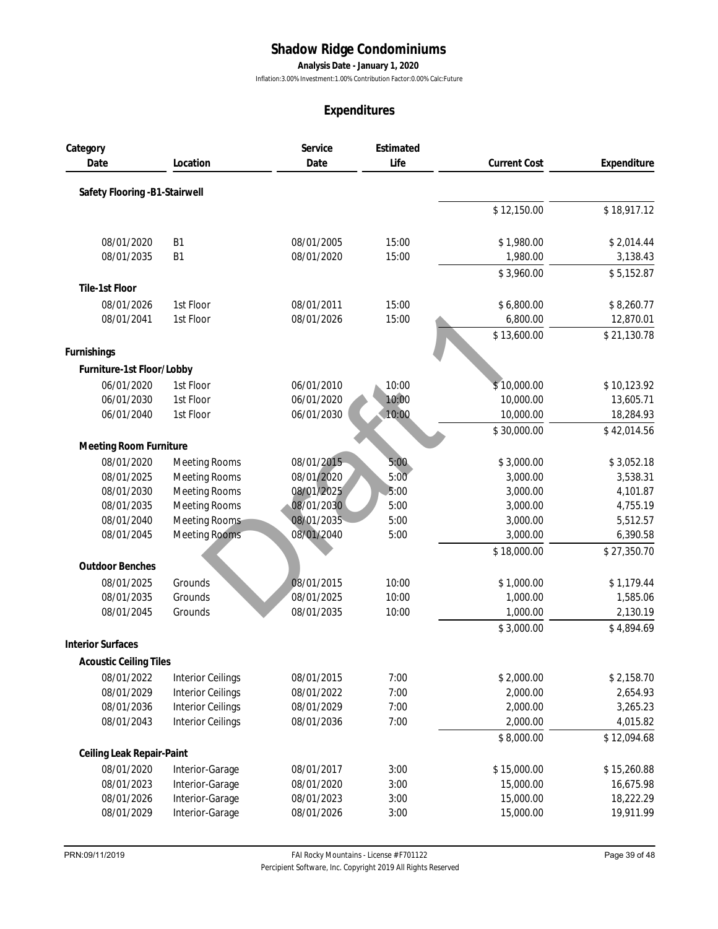**Analysis Date - January 1, 2020**

Inflation:3.00% Investment:1.00% Contribution Factor:0.00% Calc:Future

| Category<br>Date              |                                    |                          |              |                        |                        |
|-------------------------------|------------------------------------|--------------------------|--------------|------------------------|------------------------|
|                               |                                    | Service                  | Estimated    |                        |                        |
|                               | Location                           | Date                     | Life         | <b>Current Cost</b>    | Expenditure            |
| Safety Flooring -B1-Stairwell |                                    |                          |              |                        |                        |
|                               |                                    |                          |              | \$12,150.00            | \$18,917.12            |
| 08/01/2020                    | B <sub>1</sub>                     | 08/01/2005               | 15:00        | \$1,980.00             | \$2,014.44             |
| 08/01/2035                    | B <sub>1</sub>                     | 08/01/2020               | 15:00        | 1,980.00               | 3,138.43               |
|                               |                                    |                          |              | \$3,960.00             | \$5,152.87             |
| Tile-1st Floor                |                                    |                          |              |                        |                        |
| 08/01/2026                    | 1st Floor                          | 08/01/2011               | 15:00        | \$6,800.00             | \$8,260.77             |
| 08/01/2041                    | 1st Floor                          | 08/01/2026               | 15:00        | 6,800.00               | 12,870.01              |
|                               |                                    |                          |              | \$13,600.00            | \$21,130.78            |
| Furnishings                   |                                    |                          |              |                        |                        |
| Furniture-1st Floor/Lobby     |                                    |                          |              |                        |                        |
| 06/01/2020                    | 1st Floor                          | 06/01/2010               | 10:00        | \$10,000.00            | \$10,123.92            |
| 06/01/2030                    | 1st Floor                          | 06/01/2020               | 10:00        | 10,000.00              | 13,605.71              |
| 06/01/2040                    | 1st Floor                          | 06/01/2030               | 10:00        | 10,000.00              | 18,284.93              |
|                               |                                    |                          |              | \$30,000.00            | \$42,014.56            |
| Meeting Room Furniture        |                                    |                          |              |                        |                        |
| 08/01/2020                    | Meeting Rooms                      | 08/01/2015               | 5:00         | \$3,000.00             | \$3,052.18             |
| 08/01/2025                    | Meeting Rooms                      | 08/01/2020               | 5:00         | 3,000.00               | 3,538.31               |
| 08/01/2030                    | Meeting Rooms                      | 08/01/2025               | 5:00         | 3,000.00               | 4,101.87               |
| 08/01/2035                    | <b>Meeting Rooms</b>               | 08/01/2030               | 5:00         | 3,000.00               | 4,755.19               |
| 08/01/2040                    | Meeting Rooms                      | 08/01/2035               | 5:00         | 3,000.00               | 5,512.57               |
| 08/01/2045                    | <b>Meeting Rooms</b>               | 08/01/2040               | 5:00         | 3,000.00               | 6,390.58               |
| <b>Outdoor Benches</b>        |                                    |                          |              | \$18,000.00            | \$27,350.70            |
| 08/01/2025                    | Grounds                            | 08/01/2015               | 10:00        | \$1,000.00             | \$1,179.44             |
| 08/01/2035                    | Grounds                            | 08/01/2025               | 10:00        | 1,000.00               | 1,585.06               |
| 08/01/2045                    | Grounds                            | 08/01/2035               | 10:00        | 1,000.00               | 2,130.19               |
|                               |                                    |                          |              | \$3,000.00             | \$4,894.69             |
| <b>Interior Surfaces</b>      |                                    |                          |              |                        |                        |
| <b>Acoustic Ceiling Tiles</b> |                                    |                          |              |                        |                        |
| 08/01/2022                    | <b>Interior Ceilings</b>           | 08/01/2015               | 7:00         | \$2,000.00             | \$2,158.70             |
| 08/01/2029                    | <b>Interior Ceilings</b>           | 08/01/2022               | 7:00         | 2,000.00               | 2,654.93               |
| 08/01/2036                    | <b>Interior Ceilings</b>           | 08/01/2029               | 7:00         | 2,000.00               | 3,265.23               |
| 08/01/2043                    | <b>Interior Ceilings</b>           | 08/01/2036               | 7:00         | 2,000.00               | 4,015.82               |
|                               |                                    |                          |              | \$8,000.00             | \$12,094.68            |
| Ceiling Leak Repair-Paint     |                                    |                          |              |                        |                        |
| 08/01/2020                    | Interior-Garage                    | 08/01/2017               | 3:00         | \$15,000.00            | \$15,260.88            |
| 08/01/2023                    | Interior-Garage                    | 08/01/2020               | 3:00         | 15,000.00              | 16,675.98              |
| 08/01/2026<br>08/01/2029      | Interior-Garage<br>Interior-Garage | 08/01/2023<br>08/01/2026 | 3:00<br>3:00 | 15,000.00<br>15,000.00 | 18,222.29<br>19,911.99 |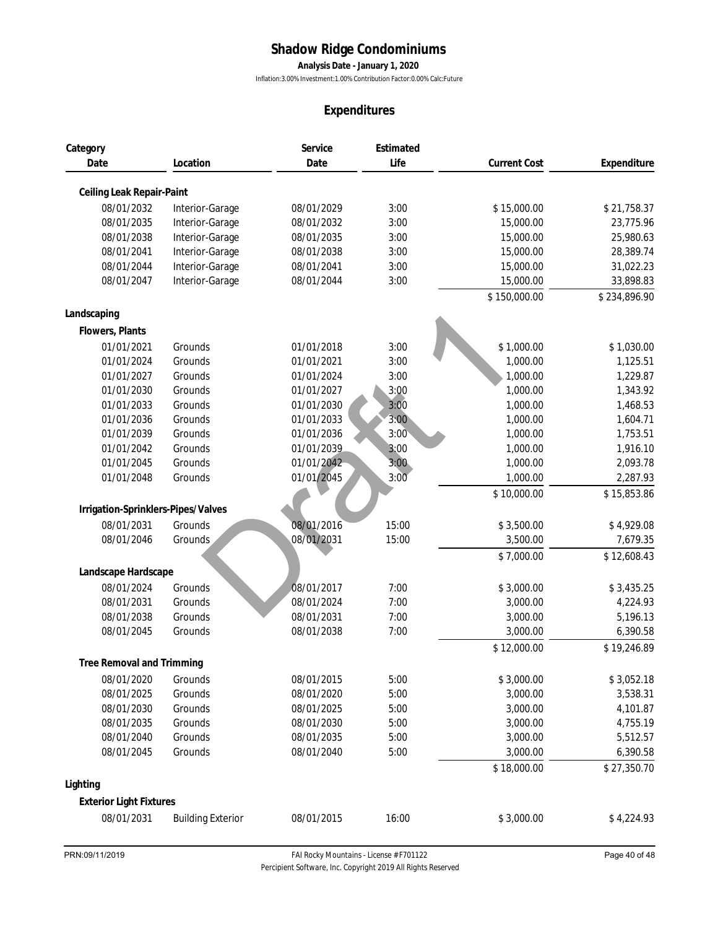**Analysis Date - January 1, 2020**

Inflation:3.00% Investment:1.00% Contribution Factor:0.00% Calc:Future

|                                    |                          |            | Expenditures |                     |              |
|------------------------------------|--------------------------|------------|--------------|---------------------|--------------|
| Category                           |                          | Service    | Estimated    |                     |              |
| Date                               | Location                 | Date       | Life         | <b>Current Cost</b> | Expenditure  |
| Ceiling Leak Repair-Paint          |                          |            |              |                     |              |
| 08/01/2032                         | Interior-Garage          | 08/01/2029 | 3:00         | \$15,000.00         | \$21,758.37  |
| 08/01/2035                         | Interior-Garage          | 08/01/2032 | 3:00         | 15,000.00           | 23,775.96    |
| 08/01/2038                         | Interior-Garage          | 08/01/2035 | 3:00         | 15,000.00           | 25,980.63    |
| 08/01/2041                         | Interior-Garage          | 08/01/2038 | 3:00         | 15,000.00           | 28,389.74    |
| 08/01/2044                         | Interior-Garage          | 08/01/2041 | 3:00         | 15,000.00           | 31,022.23    |
| 08/01/2047                         | Interior-Garage          | 08/01/2044 | 3:00         | 15,000.00           | 33,898.83    |
|                                    |                          |            |              | \$150,000.00        | \$234,896.90 |
| Landscaping                        |                          |            |              |                     |              |
| Flowers, Plants                    |                          |            |              |                     |              |
| 01/01/2021                         | Grounds                  | 01/01/2018 | 3:00         | \$1,000.00          | \$1,030.00   |
| 01/01/2024                         | Grounds                  | 01/01/2021 | 3:00         | 1,000.00            | 1,125.51     |
| 01/01/2027                         | Grounds                  | 01/01/2024 | 3:00         | 1,000.00            | 1,229.87     |
| 01/01/2030                         | Grounds                  | 01/01/2027 | 3:00         | 1,000.00            | 1,343.92     |
| 01/01/2033                         | Grounds                  | 01/01/2030 | 3:00         | 1,000.00            | 1,468.53     |
| 01/01/2036                         | Grounds                  | 01/01/2033 | 3:00         | 1,000.00            | 1,604.71     |
| 01/01/2039                         | Grounds                  | 01/01/2036 | 3:00         | 1,000.00            | 1,753.51     |
| 01/01/2042                         | Grounds                  | 01/01/2039 | 3:00         | 1,000.00            | 1,916.10     |
| 01/01/2045                         | Grounds                  | 01/01/2042 | 3:00         | 1,000.00            | 2,093.78     |
| 01/01/2048                         | Grounds                  | 01/01/2045 | 3:00         | 1,000.00            | 2,287.93     |
|                                    |                          |            |              | \$10,000.00         | \$15,853.86  |
| Irrigation-Sprinklers-Pipes/Valves |                          |            |              |                     |              |
| 08/01/2031                         | Grounds                  | 08/01/2016 | 15:00        | \$3,500.00          | \$4,929.08   |
| 08/01/2046                         | Grounds                  | 08/01/2031 | 15:00        | 3,500.00            | 7,679.35     |
|                                    |                          |            |              | \$7,000.00          | \$12,608.43  |
| Landscape Hardscape                |                          |            |              |                     |              |
| 08/01/2024                         | Grounds                  | 08/01/2017 | 7:00         | \$3,000.00          | \$3,435.25   |
| 08/01/2031                         | Grounds                  | 08/01/2024 | 7:00         | 3,000.00            | 4,224.93     |
| 08/01/2038                         | Grounds                  | 08/01/2031 | 7:00         | 3,000.00            | 5,196.13     |
| 08/01/2045                         | Grounds                  | 08/01/2038 | 7:00         | 3,000.00            | 6,390.58     |
|                                    |                          |            |              | \$12,000.00         | \$19,246.89  |
| Tree Removal and Trimming          |                          |            |              |                     |              |
| 08/01/2020                         | Grounds                  | 08/01/2015 | 5:00         | \$3,000.00          | \$3,052.18   |
| 08/01/2025                         | Grounds                  | 08/01/2020 | 5:00         | 3,000.00            | 3,538.31     |
| 08/01/2030                         | Grounds                  | 08/01/2025 | 5:00         | 3,000.00            | 4,101.87     |
| 08/01/2035                         | Grounds                  | 08/01/2030 | 5:00         | 3,000.00            | 4,755.19     |
| 08/01/2040                         | Grounds                  | 08/01/2035 | 5:00         | 3,000.00            | 5,512.57     |
| 08/01/2045                         | Grounds                  | 08/01/2040 | 5:00         | 3,000.00            | 6,390.58     |
|                                    |                          |            |              | \$18,000.00         | \$27,350.70  |
| Lighting                           |                          |            |              |                     |              |
| <b>Exterior Light Fixtures</b>     |                          |            |              |                     |              |
| 08/01/2031                         | <b>Building Exterior</b> | 08/01/2015 | 16:00        | \$3,000.00          | \$4,224.93   |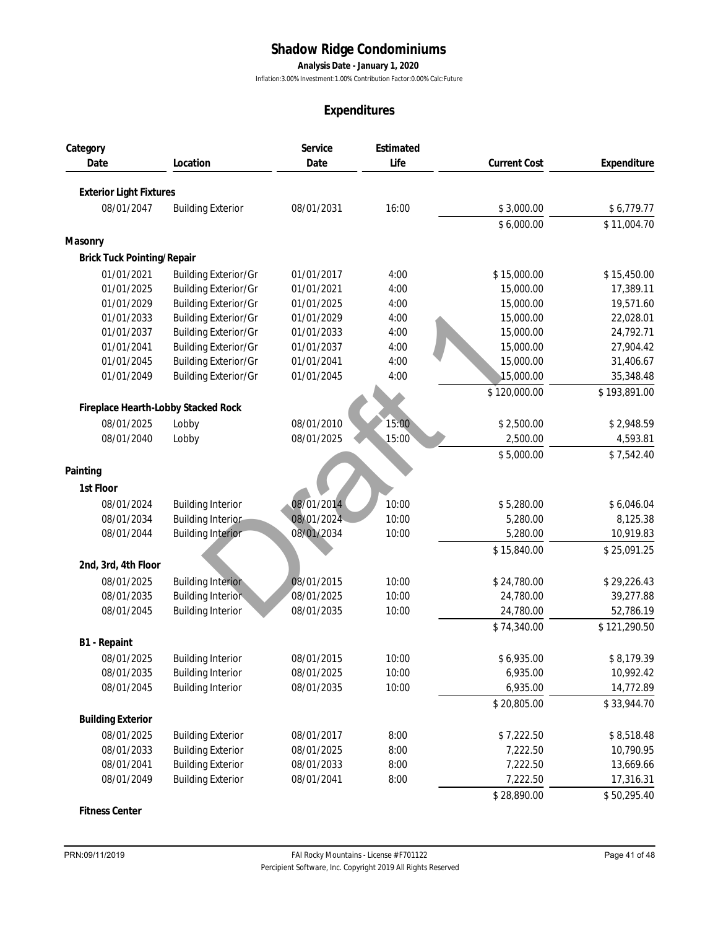**Analysis Date - January 1, 2020**

Inflation:3.00% Investment:1.00% Contribution Factor:0.00% Calc:Future

## **Expenditures**

|                                     |                                                      |                          | Expenditures      |                      |                        |
|-------------------------------------|------------------------------------------------------|--------------------------|-------------------|----------------------|------------------------|
| Category<br>Date                    | Location                                             | Service<br>Date          | Estimated<br>Life | <b>Current Cost</b>  | Expenditure            |
|                                     |                                                      |                          |                   |                      |                        |
| <b>Exterior Light Fixtures</b>      |                                                      |                          |                   |                      |                        |
| 08/01/2047                          | <b>Building Exterior</b>                             | 08/01/2031               | 16:00             | \$3,000.00           | \$6,779.77             |
|                                     |                                                      |                          |                   | \$6,000.00           | \$11,004.70            |
| Masonry                             |                                                      |                          |                   |                      |                        |
| Brick Tuck Pointing/Repair          |                                                      |                          |                   |                      |                        |
| 01/01/2021                          | <b>Building Exterior/Gr</b>                          | 01/01/2017               | 4:00              | \$15,000.00          | \$15,450.00            |
| 01/01/2025                          | <b>Building Exterior/Gr</b>                          | 01/01/2021               | 4:00              | 15,000.00            | 17,389.11              |
| 01/01/2029                          | <b>Building Exterior/Gr</b>                          | 01/01/2025               | 4:00              | 15,000.00            | 19,571.60              |
| 01/01/2033                          | <b>Building Exterior/Gr</b>                          | 01/01/2029               | 4:00              | 15,000.00            | 22,028.01              |
| 01/01/2037                          | <b>Building Exterior/Gr</b>                          | 01/01/2033               | 4:00              | 15,000.00            | 24,792.71              |
| 01/01/2041                          | <b>Building Exterior/Gr</b>                          | 01/01/2037               | 4:00              | 15,000.00            | 27,904.42              |
| 01/01/2045                          | <b>Building Exterior/Gr</b>                          | 01/01/2041               | 4:00              | 15,000.00            | 31,406.67              |
| 01/01/2049                          | <b>Building Exterior/Gr</b>                          | 01/01/2045               | 4:00              | 15,000.00            | 35,348.48              |
|                                     |                                                      |                          |                   | \$120,000.00         | \$193,891.00           |
| Fireplace Hearth-Lobby Stacked Rock |                                                      |                          |                   |                      |                        |
| 08/01/2025                          | Lobby                                                | 08/01/2010               | 15:00             | \$2,500.00           | \$2,948.59             |
| 08/01/2040                          | Lobby                                                | 08/01/2025               | 15:00             | 2,500.00             | 4,593.81               |
|                                     |                                                      |                          |                   | \$5,000.00           | \$7,542.40             |
| Painting                            |                                                      |                          |                   |                      |                        |
| 1st Floor                           |                                                      |                          |                   |                      |                        |
| 08/01/2024                          | <b>Building Interior</b>                             | 08/01/2014               | 10:00             | \$5,280.00           | \$6,046.04             |
| 08/01/2034                          | <b>Building Interior</b>                             | 08/01/2024               | 10:00             | 5,280.00             | 8,125.38               |
| 08/01/2044                          | <b>Building Interior</b>                             | 08/01/2034               | 10:00             | 5,280.00             | 10,919.83              |
|                                     |                                                      |                          |                   | \$15,840.00          | \$25,091.25            |
| 2nd, 3rd, 4th Floor                 |                                                      |                          |                   |                      |                        |
| 08/01/2025                          | <b>Building Interior</b>                             | 08/01/2015               | 10:00             | \$24,780.00          | \$29,226.43            |
| 08/01/2035                          | <b>Building Interior</b>                             | 08/01/2025               | 10:00             | 24,780.00            | 39,277.88              |
| 08/01/2045                          | <b>Building Interior</b>                             | 08/01/2035               | 10:00             | 24,780.00            | 52,786.19              |
|                                     |                                                      |                          |                   | \$74,340.00          | \$121,290.50           |
| B1 - Repaint                        |                                                      |                          |                   |                      |                        |
| 08/01/2025                          | <b>Building Interior</b>                             | 08/01/2015               | 10:00             | \$6,935.00           | \$8,179.39             |
| 08/01/2035                          | <b>Building Interior</b>                             | 08/01/2025               | 10:00             | 6,935.00             | 10,992.42              |
| 08/01/2045                          | <b>Building Interior</b>                             | 08/01/2035               | 10:00             | 6,935.00             | 14,772.89              |
|                                     |                                                      |                          |                   | \$20,805.00          | \$33,944.70            |
| <b>Building Exterior</b>            |                                                      |                          |                   |                      |                        |
|                                     |                                                      |                          |                   |                      |                        |
| 08/01/2025                          | <b>Building Exterior</b>                             | 08/01/2017               | 8:00              | \$7,222.50           | \$8,518.48             |
| 08/01/2033<br>08/01/2041            | <b>Building Exterior</b>                             | 08/01/2025<br>08/01/2033 | 8:00<br>8:00      | 7,222.50             | 10,790.95              |
| 08/01/2049                          | <b>Building Exterior</b><br><b>Building Exterior</b> | 08/01/2041               | 8:00              | 7,222.50<br>7,222.50 | 13,669.66<br>17,316.31 |
|                                     |                                                      |                          |                   |                      |                        |
|                                     |                                                      |                          |                   | \$28,890.00          | \$50,295.40            |

**Fitness Center**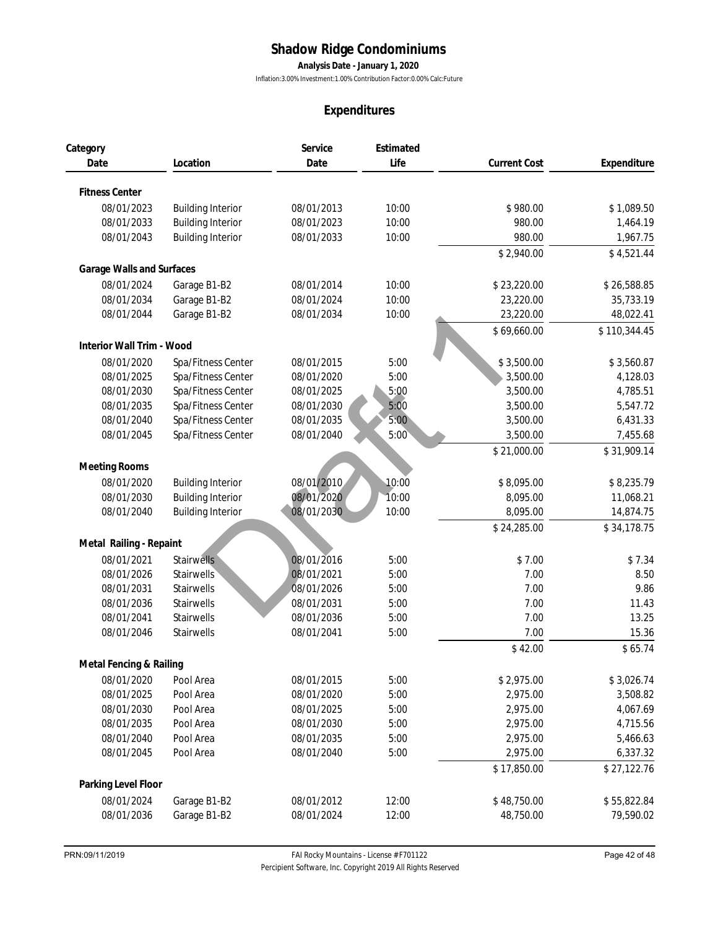**Analysis Date - January 1, 2020**

Inflation:3.00% Investment:1.00% Contribution Factor:0.00% Calc:Future

|                           |                          | Expenditures    |                   |                     |              |
|---------------------------|--------------------------|-----------------|-------------------|---------------------|--------------|
| Category<br>Date          | Location                 | Service<br>Date | Estimated<br>Life | <b>Current Cost</b> | Expenditure  |
|                           |                          |                 |                   |                     |              |
| <b>Fitness Center</b>     |                          |                 |                   |                     |              |
| 08/01/2023                | <b>Building Interior</b> | 08/01/2013      | 10:00             | \$980.00            | \$1,089.50   |
| 08/01/2033                | <b>Building Interior</b> | 08/01/2023      | 10:00             | 980.00              | 1,464.19     |
| 08/01/2043                | <b>Building Interior</b> | 08/01/2033      | 10:00             | 980.00              | 1,967.75     |
|                           |                          |                 |                   | \$2,940.00          | \$4,521.44   |
| Garage Walls and Surfaces |                          |                 |                   |                     |              |
| 08/01/2024                | Garage B1-B2             | 08/01/2014      | 10:00             | \$23,220.00         | \$26,588.85  |
| 08/01/2034                | Garage B1-B2             | 08/01/2024      | 10:00             | 23,220.00           | 35,733.19    |
| 08/01/2044                | Garage B1-B2             | 08/01/2034      | 10:00             | 23,220.00           | 48,022.41    |
|                           |                          |                 |                   | \$69,660.00         | \$110,344.45 |
| Interior Wall Trim - Wood |                          |                 |                   |                     |              |
| 08/01/2020                | Spa/Fitness Center       | 08/01/2015      | 5:00              | \$3,500.00          | \$3,560.87   |
| 08/01/2025                | Spa/Fitness Center       | 08/01/2020      | 5:00              | 3,500.00            | 4,128.03     |
| 08/01/2030                | Spa/Fitness Center       | 08/01/2025      | 5:00              | 3,500.00            | 4,785.51     |
| 08/01/2035                | Spa/Fitness Center       | 08/01/2030      | 5:00              | 3,500.00            | 5,547.72     |
| 08/01/2040                | Spa/Fitness Center       | 08/01/2035      | 5:00              | 3,500.00            | 6,431.33     |
| 08/01/2045                | Spa/Fitness Center       | 08/01/2040      | 5:00              | 3,500.00            | 7,455.68     |
|                           |                          |                 |                   | \$21,000.00         | \$31,909.14  |
| Meeting Rooms             |                          |                 |                   |                     |              |
| 08/01/2020                | <b>Building Interior</b> | 08/01/2010      | 10:00             | \$8,095.00          | \$8,235.79   |
| 08/01/2030                | <b>Building Interior</b> | 08/01/2020      | 10:00             | 8,095.00            | 11,068.21    |
| 08/01/2040                | <b>Building Interior</b> | 08/01/2030      | 10:00             | 8,095.00            | 14,874.75    |
|                           |                          |                 |                   | \$24,285.00         | \$34,178.75  |
| Metal Railing - Repaint   |                          |                 |                   |                     |              |
| 08/01/2021                | <b>Stairwells</b>        | 08/01/2016      | 5:00              | \$7.00              | \$7.34       |
| 08/01/2026                | Stairwells               | 08/01/2021      | 5:00              | 7.00                | 8.50         |
| 08/01/2031                | <b>Stairwells</b>        | 08/01/2026      | 5:00              | 7.00                | 9.86         |
| 08/01/2036                | <b>Stairwells</b>        | 08/01/2031      | 5:00              | 7.00                | 11.43        |
| 08/01/2041                | Stairwells               | 08/01/2036      | 5:00              | 7.00                | 13.25        |
| 08/01/2046                | Stairwells               | 08/01/2041      | 5:00              | 7.00                | 15.36        |
|                           |                          |                 |                   | \$42.00             | \$65.74      |
| Metal Fencing & Railing   |                          |                 |                   |                     |              |
| 08/01/2020                | Pool Area                | 08/01/2015      | 5:00              | \$2,975.00          | \$3,026.74   |
| 08/01/2025                | Pool Area                | 08/01/2020      | 5:00              | 2,975.00            | 3,508.82     |
| 08/01/2030                | Pool Area                | 08/01/2025      | 5:00              | 2,975.00            | 4,067.69     |
| 08/01/2035                | Pool Area                | 08/01/2030      | 5:00              | 2,975.00            | 4,715.56     |
| 08/01/2040                | Pool Area                | 08/01/2035      | 5:00              | 2,975.00            | 5,466.63     |
| 08/01/2045                | Pool Area                | 08/01/2040      | 5:00              | 2,975.00            | 6,337.32     |
|                           |                          |                 |                   | \$17,850.00         | \$27,122.76  |
| Parking Level Floor       |                          |                 |                   |                     |              |
| 08/01/2024                | Garage B1-B2             | 08/01/2012      | 12:00             | \$48,750.00         | \$55,822.84  |
| 08/01/2036                | Garage B1-B2             | 08/01/2024      | 12:00             | 48,750.00           | 79,590.02    |
|                           |                          |                 |                   |                     |              |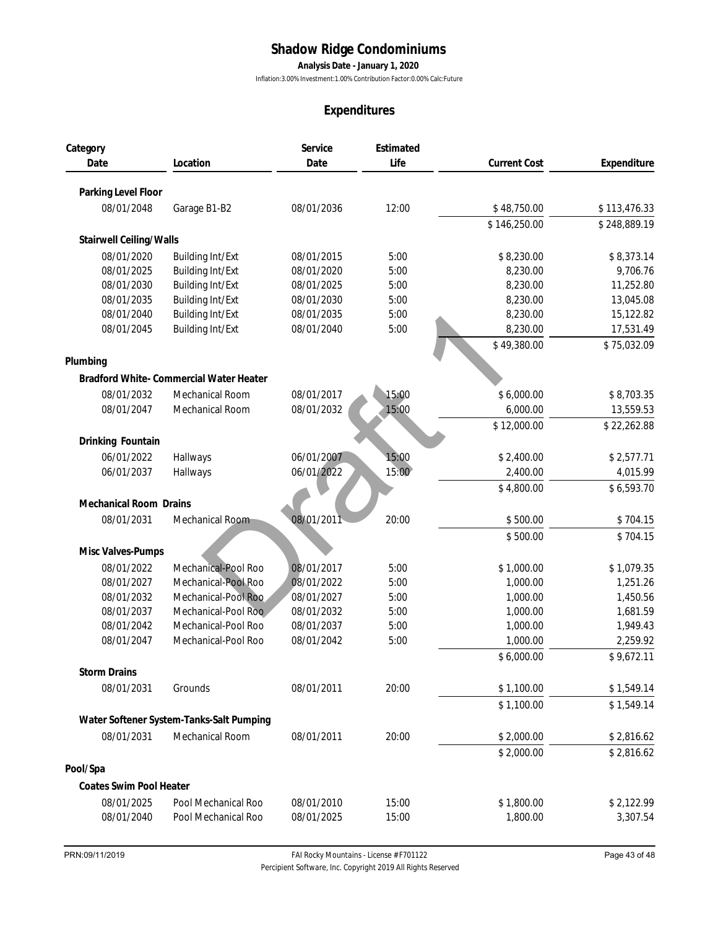**Analysis Date - January 1, 2020**

Inflation:3.00% Investment:1.00% Contribution Factor:0.00% Calc:Future

|                          |                                            |                          | Expenditures      |                      |                      |
|--------------------------|--------------------------------------------|--------------------------|-------------------|----------------------|----------------------|
| Category<br>Date         | Location                                   | Service<br>Date          | Estimated<br>Life | <b>Current Cost</b>  | Expenditure          |
|                          |                                            |                          |                   |                      |                      |
| Parking Level Floor      |                                            |                          |                   |                      |                      |
| 08/01/2048               | Garage B1-B2                               | 08/01/2036               | 12:00             | \$48,750.00          | \$113,476.33         |
|                          |                                            |                          |                   | \$146,250.00         | \$248,889.19         |
| Stairwell Ceiling/Walls  |                                            |                          |                   |                      |                      |
| 08/01/2020               | <b>Building Int/Ext</b>                    | 08/01/2015               | 5:00              | \$8,230.00           | \$8,373.14           |
| 08/01/2025               | <b>Building Int/Ext</b>                    | 08/01/2020               | 5:00              | 8,230.00             | 9,706.76             |
| 08/01/2030               | <b>Building Int/Ext</b>                    | 08/01/2025               | 5:00              | 8,230.00             | 11,252.80            |
| 08/01/2035               | <b>Building Int/Ext</b>                    | 08/01/2030               | 5:00              | 8,230.00             | 13,045.08            |
| 08/01/2040               | <b>Building Int/Ext</b>                    | 08/01/2035               | 5:00              | 8,230.00             | 15,122.82            |
| 08/01/2045               | <b>Building Int/Ext</b>                    | 08/01/2040               | 5:00              | 8,230.00             | 17,531.49            |
|                          |                                            |                          |                   | \$49,380.00          | \$75,032.09          |
| Plumbing                 |                                            |                          |                   |                      |                      |
|                          | Bradford White- Commercial Water Heater    |                          |                   |                      |                      |
| 08/01/2032               | Mechanical Room                            | 08/01/2017               | 15:00             | \$6,000.00           | \$8,703.35           |
| 08/01/2047               | Mechanical Room                            | 08/01/2032               | 15:00             | 6,000.00             | 13,559.53            |
|                          |                                            |                          |                   | \$12,000.00          | \$22,262.88          |
| Drinking Fountain        |                                            |                          |                   |                      |                      |
| 06/01/2022               | Hallways                                   | 06/01/2007               | 15:00             | \$2,400.00           | \$2,577.71           |
| 06/01/2037               | Hallways                                   | 06/01/2022               | 15:00             | 2,400.00             | 4,015.99             |
|                          |                                            |                          |                   | \$4,800.00           | \$6,593.70           |
| Mechanical Room Drains   |                                            |                          |                   |                      |                      |
|                          |                                            |                          |                   |                      |                      |
| 08/01/2031               | Mechanical Room                            | 08/01/2011               | 20:00             | \$500.00             | \$704.15             |
|                          |                                            |                          |                   | \$500.00             | \$704.15             |
| Misc Valves-Pumps        |                                            |                          |                   |                      |                      |
| 08/01/2022               | Mechanical-Pool Roo                        | 08/01/2017               | 5:00              | \$1,000.00           | \$1,079.35           |
| 08/01/2027               | Mechanical-Pool Roo                        | 08/01/2022               | 5:00              | 1,000.00             | 1,251.26             |
| 08/01/2032               | Mechanical-Pool Roo                        | 08/01/2027               | 5:00              | 1,000.00             | 1,450.56             |
| 08/01/2037<br>08/01/2042 | Mechanical-Pool Roo<br>Mechanical-Pool Roo | 08/01/2032<br>08/01/2037 | 5:00<br>5:00      | 1,000.00<br>1,000.00 | 1,681.59<br>1,949.43 |
| 08/01/2047               | Mechanical-Pool Roo                        | 08/01/2042               | 5:00              | 1,000.00             | 2,259.92             |
|                          |                                            |                          |                   | \$6,000.00           | \$9,672.11           |
| <b>Storm Drains</b>      |                                            |                          |                   |                      |                      |
| 08/01/2031               |                                            | 08/01/2011               |                   |                      |                      |
|                          | Grounds                                    |                          | 20:00             | \$1,100.00           | \$1,549.14           |
|                          |                                            |                          |                   | \$1,100.00           | \$1,549.14           |
|                          | Water Softener System-Tanks-Salt Pumping   |                          |                   |                      |                      |
| 08/01/2031               | Mechanical Room                            | 08/01/2011               | 20:00             | \$2,000.00           | \$2,816.62           |
|                          |                                            |                          |                   | \$2,000.00           | \$2,816.62           |
| Pool/Spa                 |                                            |                          |                   |                      |                      |
| Coates Swim Pool Heater  |                                            |                          |                   |                      |                      |
| 08/01/2025               | Pool Mechanical Roo                        | 08/01/2010               | 15:00             | \$1,800.00           | \$2,122.99           |
|                          | Pool Mechanical Roo                        | 08/01/2025               | 15:00             | 1,800.00             | 3,307.54             |

*Percipient Software, Inc. Copyright 2019 All Rights Reserved*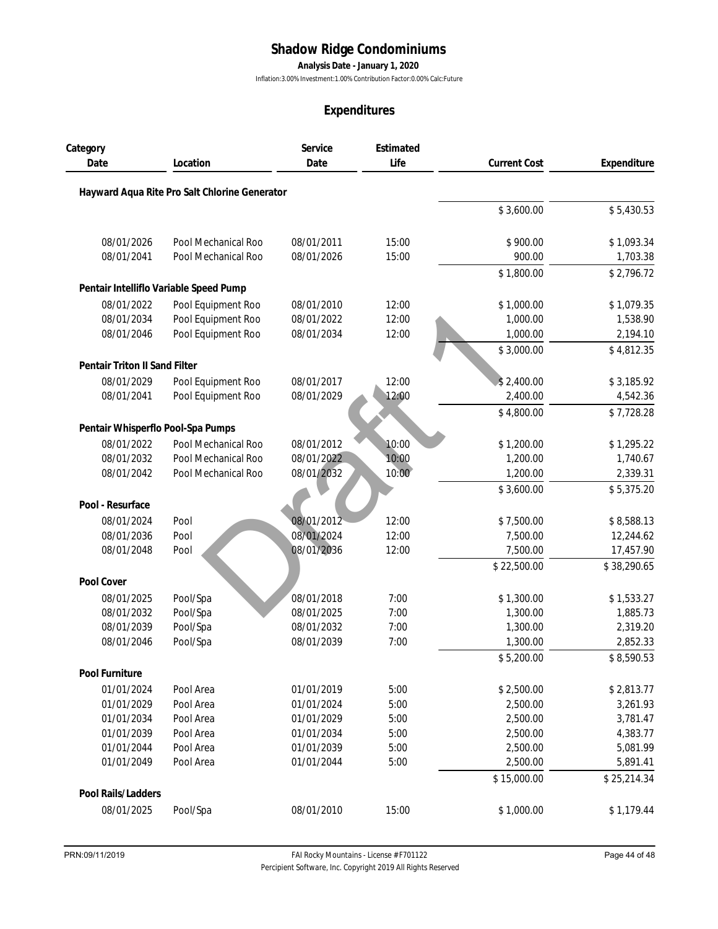**Analysis Date - January 1, 2020**

Inflation:3.00% Investment:1.00% Contribution Factor:0.00% Calc:Future

|                                   |                                               |                 | Expenditures      |                     |             |
|-----------------------------------|-----------------------------------------------|-----------------|-------------------|---------------------|-------------|
| Category                          |                                               | Service<br>Date | Estimated<br>Life |                     |             |
| Date                              | Location                                      |                 |                   | <b>Current Cost</b> | Expenditure |
|                                   | Hayward Aqua Rite Pro Salt Chlorine Generator |                 |                   |                     |             |
|                                   |                                               |                 |                   | \$3,600.00          | \$5,430.53  |
| 08/01/2026                        | Pool Mechanical Roo                           | 08/01/2011      | 15:00             | \$900.00            | \$1,093.34  |
| 08/01/2041                        | Pool Mechanical Roo                           | 08/01/2026      | 15:00             | 900.00              | 1,703.38    |
|                                   |                                               |                 |                   | \$1,800.00          | \$2,796.72  |
|                                   | Pentair Intelliflo Variable Speed Pump        |                 |                   |                     |             |
| 08/01/2022                        | Pool Equipment Roo                            | 08/01/2010      | 12:00             | \$1,000.00          | \$1,079.35  |
| 08/01/2034                        | Pool Equipment Roo                            | 08/01/2022      | 12:00             | 1,000.00            | 1,538.90    |
| 08/01/2046                        | Pool Equipment Roo                            | 08/01/2034      | 12:00             | 1,000.00            | 2,194.10    |
|                                   |                                               |                 |                   | \$3,000.00          | \$4,812.35  |
| Pentair Triton II Sand Filter     |                                               |                 |                   |                     |             |
| 08/01/2029                        | Pool Equipment Roo                            | 08/01/2017      | 12:00             | \$2,400.00          | \$3,185.92  |
| 08/01/2041                        | Pool Equipment Roo                            | 08/01/2029      | 12:00             | 2,400.00            | 4,542.36    |
|                                   |                                               |                 |                   | \$4,800.00          | \$7,728.28  |
| Pentair Whisperflo Pool-Spa Pumps |                                               |                 |                   |                     |             |
| 08/01/2022                        | Pool Mechanical Roo                           | 08/01/2012      | 10:00             | \$1,200.00          | \$1,295.22  |
| 08/01/2032                        | Pool Mechanical Roo                           | 08/01/2022      | 10:00             | 1,200.00            | 1,740.67    |
| 08/01/2042                        | Pool Mechanical Roo                           | 08/01/2032      | 10:00             | 1,200.00            | 2,339.31    |
|                                   |                                               |                 |                   | \$3,600.00          | \$5,375.20  |
| Pool - Resurface                  |                                               |                 |                   |                     |             |
| 08/01/2024                        | Pool                                          | 08/01/2012      | 12:00             | \$7,500.00          | \$8,588.13  |
| 08/01/2036                        | Pool                                          | 08/01/2024      | 12:00             | 7,500.00            | 12,244.62   |
| 08/01/2048                        | Pool                                          | 08/01/2036      | 12:00             | 7,500.00            | 17,457.90   |
|                                   |                                               |                 |                   | \$22,500.00         | \$38,290.65 |
| Pool Cover                        |                                               |                 |                   |                     |             |
| 08/01/2025                        | Pool/Spa                                      | 08/01/2018      | 7:00              | \$1,300.00          | \$1,533.27  |
| 08/01/2032                        | Pool/Spa                                      | 08/01/2025      | 7:00              | 1,300.00            | 1,885.73    |
| 08/01/2039                        | Pool/Spa                                      | 08/01/2032      | 7:00              | 1,300.00            | 2,319.20    |
| 08/01/2046                        | Pool/Spa                                      | 08/01/2039      | 7:00              | 1,300.00            | 2,852.33    |
|                                   |                                               |                 |                   | \$5,200.00          | \$8,590.53  |
| Pool Furniture                    |                                               |                 |                   |                     |             |
| 01/01/2024                        | Pool Area                                     | 01/01/2019      | 5:00              | \$2,500.00          | \$2,813.77  |
| 01/01/2029                        | Pool Area                                     | 01/01/2024      | 5:00              | 2,500.00            | 3,261.93    |
| 01/01/2034                        | Pool Area                                     | 01/01/2029      | 5:00              | 2,500.00            | 3,781.47    |
| 01/01/2039                        | Pool Area                                     | 01/01/2034      | 5:00              | 2,500.00            | 4,383.77    |
| 01/01/2044                        | Pool Area                                     | 01/01/2039      | 5:00              | 2,500.00            | 5,081.99    |
| 01/01/2049                        | Pool Area                                     | 01/01/2044      | 5:00              | 2,500.00            | 5,891.41    |
|                                   |                                               |                 |                   | \$15,000.00         | \$25,214.34 |
| Pool Rails/Ladders                |                                               |                 |                   |                     |             |
| 08/01/2025                        | Pool/Spa                                      | 08/01/2010      | 15:00             | \$1,000.00          | \$1,179.44  |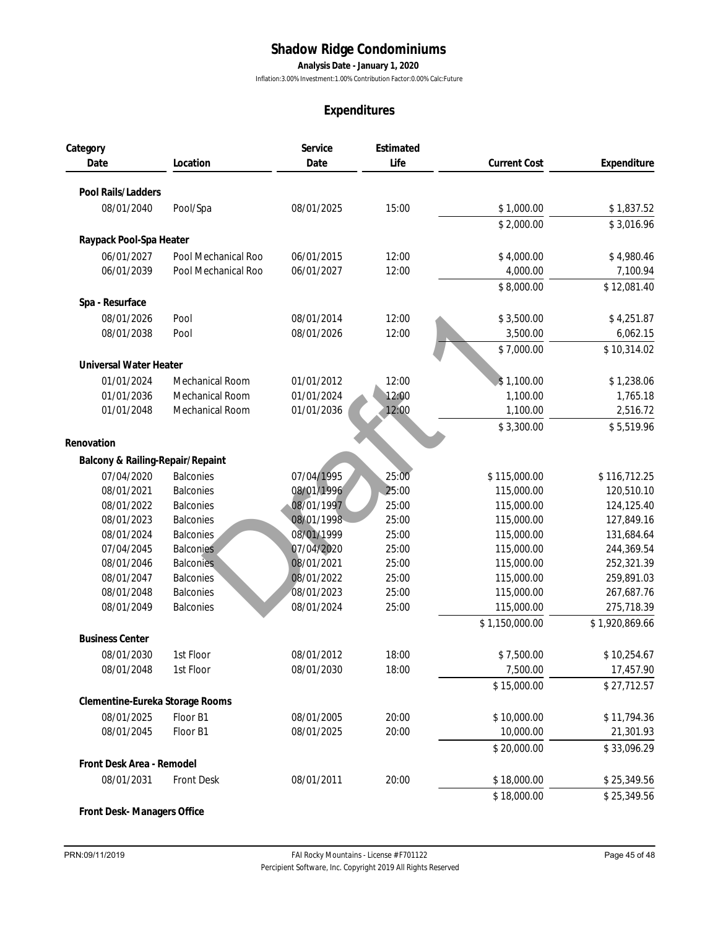**Analysis Date - January 1, 2020**

Inflation:3.00% Investment:1.00% Contribution Factor:0.00% Calc:Future

|                                  |                     |                          | Expenditures      |                     |                |
|----------------------------------|---------------------|--------------------------|-------------------|---------------------|----------------|
| Category<br>Date                 | Location            | Service<br>Date          | Estimated<br>Life | <b>Current Cost</b> | Expenditure    |
| Pool Rails/Ladders               |                     |                          |                   |                     |                |
| 08/01/2040                       | Pool/Spa            | 08/01/2025               | 15:00             | \$1,000.00          | \$1,837.52     |
|                                  |                     |                          |                   | \$2,000.00          | \$3,016.96     |
| Raypack Pool-Spa Heater          |                     |                          |                   |                     |                |
| 06/01/2027                       | Pool Mechanical Roo | 06/01/2015               | 12:00             | \$4,000.00          | \$4,980.46     |
| 06/01/2039                       | Pool Mechanical Roo | 06/01/2027               | 12:00             | 4,000.00            | 7,100.94       |
|                                  |                     |                          |                   | \$8,000.00          | \$12,081.40    |
| Spa - Resurface                  |                     |                          |                   |                     |                |
| 08/01/2026                       | Pool                | 08/01/2014               | 12:00             | \$3,500.00          | \$4,251.87     |
| 08/01/2038                       | Pool                | 08/01/2026               | 12:00             | 3,500.00            | 6,062.15       |
|                                  |                     |                          |                   | \$7,000.00          | \$10,314.02    |
|                                  |                     |                          |                   |                     |                |
| Universal Water Heater           |                     |                          |                   |                     |                |
| 01/01/2024                       | Mechanical Room     | 01/01/2012               | 12:00             | \$1,100.00          | \$1,238.06     |
| 01/01/2036                       | Mechanical Room     | 01/01/2024               | 12:00             | 1,100.00            | 1,765.18       |
| 01/01/2048                       | Mechanical Room     | 01/01/2036               | 12:00             | 1,100.00            | 2,516.72       |
|                                  |                     |                          |                   | \$3,300.00          | \$5,519.96     |
| Renovation                       |                     |                          |                   |                     |                |
| Balcony & Railing-Repair/Repaint |                     |                          |                   |                     |                |
| 07/04/2020                       | <b>Balconies</b>    | 07/04/1995               | 25:00             | \$115,000.00        | \$116,712.25   |
| 08/01/2021                       | <b>Balconies</b>    | 08/01/1996               | 25:00             | 115,000.00          | 120,510.10     |
| 08/01/2022                       | <b>Balconies</b>    | 08/01/1997               | 25:00             | 115,000.00          | 124,125.40     |
| 08/01/2023                       | <b>Balconies</b>    | 08/01/1998               | 25:00             | 115,000.00          | 127,849.16     |
| 08/01/2024                       | <b>Balconies</b>    | 08/01/1999               | 25:00             | 115,000.00          | 131,684.64     |
| 07/04/2045                       | <b>Balconies</b>    | 07/04/2020               | 25:00             | 115,000.00          | 244,369.54     |
| 08/01/2046                       | <b>Balconies</b>    | 08/01/2021               | 25:00             | 115,000.00          | 252,321.39     |
| 08/01/2047                       | <b>Balconies</b>    | 08/01/2022               | 25:00             | 115,000.00          | 259,891.03     |
| 08/01/2048                       | <b>Balconies</b>    | 08/01/2023               | 25:00             | 115,000.00          | 267,687.76     |
| 08/01/2049                       | <b>Balconies</b>    | 08/01/2024               | 25:00             | 115,000.00          | 275,718.39     |
| <b>Business Center</b>           |                     |                          |                   | \$1,150,000.00      | \$1,920,869.66 |
|                                  |                     |                          |                   |                     |                |
| 08/01/2030                       | 1st Floor           | 08/01/2012<br>08/01/2030 | 18:00             | \$7,500.00          | \$10,254.67    |
| 08/01/2048                       | 1st Floor           |                          | 18:00             | 7,500.00            | 17,457.90      |
|                                  |                     |                          |                   | \$15,000.00         | \$27,712.57    |
| Clementine-Eureka Storage Rooms  |                     |                          |                   |                     |                |
| 08/01/2025                       | Floor B1            | 08/01/2005               | 20:00             | \$10,000.00         | \$11,794.36    |
| 08/01/2045                       | Floor B1            | 08/01/2025               | 20:00             | 10,000.00           | 21,301.93      |
|                                  |                     |                          |                   | \$20,000.00         | \$33,096.29    |
| Front Desk Area - Remodel        |                     |                          |                   |                     |                |
| 08/01/2031                       | <b>Front Desk</b>   | 08/01/2011               | 20:00             | \$18,000.00         | \$25,349.56    |
|                                  |                     |                          |                   | \$18,000.00         | \$25,349.56    |
| Front Desk- Managers Office      |                     |                          |                   |                     |                |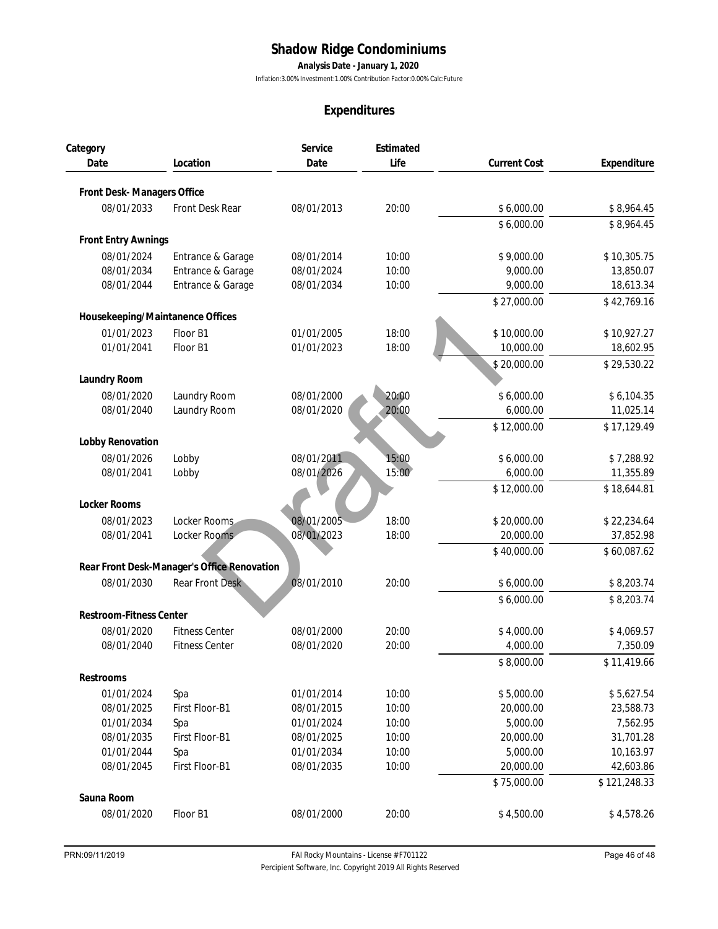**Analysis Date - January 1, 2020**

Inflation:3.00% Investment:1.00% Contribution Factor:0.00% Calc:Future

|                                  |                                             |                          | Expenditures   |                        |                          |
|----------------------------------|---------------------------------------------|--------------------------|----------------|------------------------|--------------------------|
| Category                         |                                             | Service                  | Estimated      |                        |                          |
| Date                             | Location                                    | Date                     | Life           | <b>Current Cost</b>    | Expenditure              |
| Front Desk-Managers Office       |                                             |                          |                |                        |                          |
| 08/01/2033                       | Front Desk Rear                             | 08/01/2013               | 20:00          | \$6,000.00             | \$8,964.45               |
|                                  |                                             |                          |                |                        |                          |
| Front Entry Awnings              |                                             |                          |                | \$6,000.00             | \$8,964.45               |
|                                  |                                             |                          |                |                        |                          |
| 08/01/2024<br>08/01/2034         | Entrance & Garage<br>Entrance & Garage      | 08/01/2014<br>08/01/2024 | 10:00<br>10:00 | \$9,000.00<br>9,000.00 | \$10,305.75<br>13,850.07 |
| 08/01/2044                       | Entrance & Garage                           | 08/01/2034               | 10:00          | 9,000.00               | 18,613.34                |
|                                  |                                             |                          |                | \$27,000.00            | \$42,769.16              |
| Housekeeping/Maintanence Offices |                                             |                          |                |                        |                          |
| 01/01/2023                       | Floor B1                                    | 01/01/2005               | 18:00          | \$10,000.00            | \$10,927.27              |
| 01/01/2041                       | Floor B1                                    | 01/01/2023               | 18:00          | 10,000.00              | 18,602.95                |
|                                  |                                             |                          |                | \$20,000.00            | \$29,530.22              |
| Laundry Room                     |                                             |                          |                |                        |                          |
| 08/01/2020                       | Laundry Room                                | 08/01/2000               | 20:00          | \$6,000.00             | \$6,104.35               |
| 08/01/2040                       | Laundry Room                                | 08/01/2020               | 20:00          | 6,000.00               | 11,025.14                |
|                                  |                                             |                          |                | \$12,000.00            | \$17,129.49              |
| Lobby Renovation                 |                                             |                          |                |                        |                          |
| 08/01/2026                       | Lobby                                       | 08/01/2011               | 15:00          | \$6,000.00             | \$7,288.92               |
| 08/01/2041                       | Lobby                                       | 08/01/2026               | 15:00          | 6,000.00               | 11,355.89                |
|                                  |                                             |                          |                | \$12,000.00            | \$18,644.81              |
| Locker Rooms                     |                                             |                          |                |                        |                          |
| 08/01/2023                       | Locker Rooms                                | 08/01/2005               | 18:00          | \$20,000.00            | \$22,234.64              |
| 08/01/2041                       | Locker Rooms                                | 08/01/2023               | 18:00          | 20,000.00              | 37,852.98                |
|                                  |                                             |                          |                | \$40,000.00            | \$60,087.62              |
|                                  | Rear Front Desk-Manager's Office Renovation |                          |                |                        |                          |
| 08/01/2030                       | <b>Rear Front Desk</b>                      | 08/01/2010               | 20:00          | \$6,000.00             | \$8,203.74               |
|                                  |                                             |                          |                | \$6,000.00             | \$8,203.74               |
| Restroom-Fitness Center          |                                             |                          |                |                        |                          |
| 08/01/2020                       | <b>Fitness Center</b>                       | 08/01/2000               | 20:00          | \$4,000.00             | \$4,069.57               |
| 08/01/2040                       | <b>Fitness Center</b>                       | 08/01/2020               | 20:00          | 4,000.00               | 7,350.09                 |
|                                  |                                             |                          |                | \$8,000.00             | \$11,419.66              |
| Restrooms                        |                                             |                          |                |                        |                          |
| 01/01/2024                       | Spa                                         | 01/01/2014               | 10:00          | \$5,000.00             | \$5,627.54               |
| 08/01/2025                       | First Floor-B1                              | 08/01/2015               | 10:00          | 20,000.00              | 23,588.73                |
| 01/01/2034                       | Spa                                         | 01/01/2024               | 10:00          | 5,000.00               | 7,562.95                 |
| 08/01/2035                       | First Floor-B1                              | 08/01/2025               | 10:00          | 20,000.00              | 31,701.28                |
| 01/01/2044                       | Spa                                         | 01/01/2034               | 10:00          | 5,000.00               | 10,163.97                |
| 08/01/2045                       | First Floor-B1                              | 08/01/2035               | 10:00          | 20,000.00              | 42,603.86                |
|                                  |                                             |                          |                | \$75,000.00            | \$121,248.33             |
| Sauna Room                       |                                             |                          |                |                        |                          |
| 08/01/2020                       | Floor B1                                    | 08/01/2000               | 20:00          | \$4,500.00             | \$4,578.26               |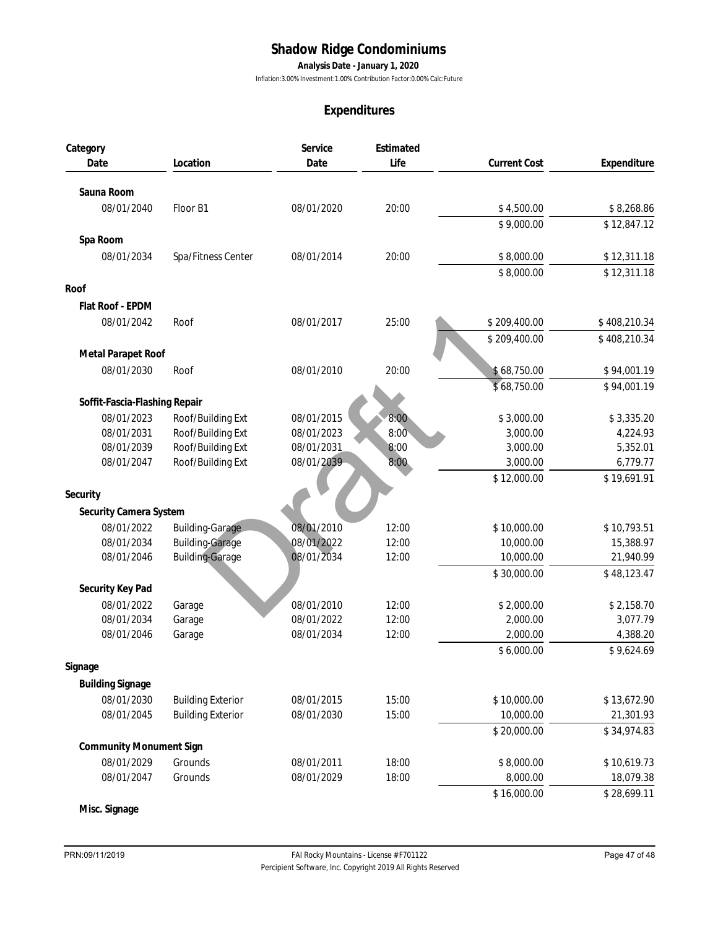**Analysis Date - January 1, 2020**

Inflation:3.00% Investment:1.00% Contribution Factor:0.00% Calc:Future

## **Expenditures**

| Service<br>Estimated<br>Category<br>Life<br>Date<br><b>Current Cost</b><br>Date<br>Location<br>Sauna Room<br>08/01/2040<br>08/01/2020<br>20:00<br>\$4,500.00<br>Floor B1<br>\$9,000.00<br>Spa Room<br>\$8,000.00<br>08/01/2034<br>Spa/Fitness Center<br>08/01/2014<br>20:00<br>\$8,000.00<br>Roof<br>Flat Roof - EPDM<br>08/01/2042<br>08/01/2017<br>25:00<br>\$209,400.00<br>Roof<br>\$209,400.00<br>Metal Parapet Roof<br>08/01/2030<br>Roof<br>08/01/2010<br>20:00<br>\$68,750.00<br>\$68,750.00<br>Soffit-Fascia-Flashing Repair<br>08/01/2023<br>Roof/Building Ext<br>\$3,000.00<br>08/01/2015<br>8:00<br>Roof/Building Ext<br>08/01/2031<br>08/01/2023<br>8:00<br>3,000.00<br>Roof/Building Ext<br>08/01/2039<br>3,000.00<br>08/01/2031<br>8:00<br>Roof/Building Ext<br>08/01/2039<br>3,000.00<br>08/01/2047<br>8:00<br>\$12,000.00<br>Security<br>Security Camera System<br>08/01/2022<br><b>Building-Garage</b><br>08/01/2010<br>12:00<br>\$10,000.00<br>08/01/2034<br><b>Building-Garage</b><br>08/01/2022<br>12:00<br>10,000.00<br><b>Building-Garage</b><br>08/01/2046<br>08/01/2034<br>12:00<br>10,000.00<br>\$30,000.00<br>Security Key Pad<br>08/01/2022<br>08/01/2010<br>12:00<br>\$2,000.00<br>Garage | Expenditure<br>\$8,268.86<br>\$12,847.12<br>\$12,311.18<br>\$12,311.18<br>\$408,210.34<br>\$408,210.34 |
|-----------------------------------------------------------------------------------------------------------------------------------------------------------------------------------------------------------------------------------------------------------------------------------------------------------------------------------------------------------------------------------------------------------------------------------------------------------------------------------------------------------------------------------------------------------------------------------------------------------------------------------------------------------------------------------------------------------------------------------------------------------------------------------------------------------------------------------------------------------------------------------------------------------------------------------------------------------------------------------------------------------------------------------------------------------------------------------------------------------------------------------------------------------------------------------------------------------------------|--------------------------------------------------------------------------------------------------------|
|                                                                                                                                                                                                                                                                                                                                                                                                                                                                                                                                                                                                                                                                                                                                                                                                                                                                                                                                                                                                                                                                                                                                                                                                                       |                                                                                                        |
|                                                                                                                                                                                                                                                                                                                                                                                                                                                                                                                                                                                                                                                                                                                                                                                                                                                                                                                                                                                                                                                                                                                                                                                                                       |                                                                                                        |
|                                                                                                                                                                                                                                                                                                                                                                                                                                                                                                                                                                                                                                                                                                                                                                                                                                                                                                                                                                                                                                                                                                                                                                                                                       |                                                                                                        |
|                                                                                                                                                                                                                                                                                                                                                                                                                                                                                                                                                                                                                                                                                                                                                                                                                                                                                                                                                                                                                                                                                                                                                                                                                       |                                                                                                        |
|                                                                                                                                                                                                                                                                                                                                                                                                                                                                                                                                                                                                                                                                                                                                                                                                                                                                                                                                                                                                                                                                                                                                                                                                                       |                                                                                                        |
|                                                                                                                                                                                                                                                                                                                                                                                                                                                                                                                                                                                                                                                                                                                                                                                                                                                                                                                                                                                                                                                                                                                                                                                                                       |                                                                                                        |
|                                                                                                                                                                                                                                                                                                                                                                                                                                                                                                                                                                                                                                                                                                                                                                                                                                                                                                                                                                                                                                                                                                                                                                                                                       |                                                                                                        |
|                                                                                                                                                                                                                                                                                                                                                                                                                                                                                                                                                                                                                                                                                                                                                                                                                                                                                                                                                                                                                                                                                                                                                                                                                       |                                                                                                        |
|                                                                                                                                                                                                                                                                                                                                                                                                                                                                                                                                                                                                                                                                                                                                                                                                                                                                                                                                                                                                                                                                                                                                                                                                                       |                                                                                                        |
|                                                                                                                                                                                                                                                                                                                                                                                                                                                                                                                                                                                                                                                                                                                                                                                                                                                                                                                                                                                                                                                                                                                                                                                                                       |                                                                                                        |
|                                                                                                                                                                                                                                                                                                                                                                                                                                                                                                                                                                                                                                                                                                                                                                                                                                                                                                                                                                                                                                                                                                                                                                                                                       |                                                                                                        |
|                                                                                                                                                                                                                                                                                                                                                                                                                                                                                                                                                                                                                                                                                                                                                                                                                                                                                                                                                                                                                                                                                                                                                                                                                       |                                                                                                        |
|                                                                                                                                                                                                                                                                                                                                                                                                                                                                                                                                                                                                                                                                                                                                                                                                                                                                                                                                                                                                                                                                                                                                                                                                                       |                                                                                                        |
|                                                                                                                                                                                                                                                                                                                                                                                                                                                                                                                                                                                                                                                                                                                                                                                                                                                                                                                                                                                                                                                                                                                                                                                                                       | \$94,001.19                                                                                            |
|                                                                                                                                                                                                                                                                                                                                                                                                                                                                                                                                                                                                                                                                                                                                                                                                                                                                                                                                                                                                                                                                                                                                                                                                                       | \$94,001.19                                                                                            |
|                                                                                                                                                                                                                                                                                                                                                                                                                                                                                                                                                                                                                                                                                                                                                                                                                                                                                                                                                                                                                                                                                                                                                                                                                       |                                                                                                        |
|                                                                                                                                                                                                                                                                                                                                                                                                                                                                                                                                                                                                                                                                                                                                                                                                                                                                                                                                                                                                                                                                                                                                                                                                                       | \$3,335.20                                                                                             |
|                                                                                                                                                                                                                                                                                                                                                                                                                                                                                                                                                                                                                                                                                                                                                                                                                                                                                                                                                                                                                                                                                                                                                                                                                       | 4,224.93                                                                                               |
|                                                                                                                                                                                                                                                                                                                                                                                                                                                                                                                                                                                                                                                                                                                                                                                                                                                                                                                                                                                                                                                                                                                                                                                                                       | 5,352.01                                                                                               |
|                                                                                                                                                                                                                                                                                                                                                                                                                                                                                                                                                                                                                                                                                                                                                                                                                                                                                                                                                                                                                                                                                                                                                                                                                       | 6,779.77                                                                                               |
|                                                                                                                                                                                                                                                                                                                                                                                                                                                                                                                                                                                                                                                                                                                                                                                                                                                                                                                                                                                                                                                                                                                                                                                                                       | \$19,691.91                                                                                            |
|                                                                                                                                                                                                                                                                                                                                                                                                                                                                                                                                                                                                                                                                                                                                                                                                                                                                                                                                                                                                                                                                                                                                                                                                                       |                                                                                                        |
|                                                                                                                                                                                                                                                                                                                                                                                                                                                                                                                                                                                                                                                                                                                                                                                                                                                                                                                                                                                                                                                                                                                                                                                                                       |                                                                                                        |
|                                                                                                                                                                                                                                                                                                                                                                                                                                                                                                                                                                                                                                                                                                                                                                                                                                                                                                                                                                                                                                                                                                                                                                                                                       | \$10,793.51                                                                                            |
|                                                                                                                                                                                                                                                                                                                                                                                                                                                                                                                                                                                                                                                                                                                                                                                                                                                                                                                                                                                                                                                                                                                                                                                                                       | 15,388.97                                                                                              |
|                                                                                                                                                                                                                                                                                                                                                                                                                                                                                                                                                                                                                                                                                                                                                                                                                                                                                                                                                                                                                                                                                                                                                                                                                       | 21,940.99                                                                                              |
|                                                                                                                                                                                                                                                                                                                                                                                                                                                                                                                                                                                                                                                                                                                                                                                                                                                                                                                                                                                                                                                                                                                                                                                                                       | \$48,123.47                                                                                            |
|                                                                                                                                                                                                                                                                                                                                                                                                                                                                                                                                                                                                                                                                                                                                                                                                                                                                                                                                                                                                                                                                                                                                                                                                                       |                                                                                                        |
|                                                                                                                                                                                                                                                                                                                                                                                                                                                                                                                                                                                                                                                                                                                                                                                                                                                                                                                                                                                                                                                                                                                                                                                                                       | \$2,158.70                                                                                             |
| 08/01/2034<br>Garage<br>08/01/2022<br>12:00<br>2,000.00                                                                                                                                                                                                                                                                                                                                                                                                                                                                                                                                                                                                                                                                                                                                                                                                                                                                                                                                                                                                                                                                                                                                                               | 3,077.79                                                                                               |
| 08/01/2046<br>Garage<br>08/01/2034<br>12:00<br>2,000.00                                                                                                                                                                                                                                                                                                                                                                                                                                                                                                                                                                                                                                                                                                                                                                                                                                                                                                                                                                                                                                                                                                                                                               | 4,388.20                                                                                               |
| \$6,000.00                                                                                                                                                                                                                                                                                                                                                                                                                                                                                                                                                                                                                                                                                                                                                                                                                                                                                                                                                                                                                                                                                                                                                                                                            | \$9,624.69                                                                                             |
| Signage                                                                                                                                                                                                                                                                                                                                                                                                                                                                                                                                                                                                                                                                                                                                                                                                                                                                                                                                                                                                                                                                                                                                                                                                               |                                                                                                        |
| <b>Building Signage</b>                                                                                                                                                                                                                                                                                                                                                                                                                                                                                                                                                                                                                                                                                                                                                                                                                                                                                                                                                                                                                                                                                                                                                                                               |                                                                                                        |
| 08/01/2030<br>15:00<br>\$10,000.00<br><b>Building Exterior</b><br>08/01/2015                                                                                                                                                                                                                                                                                                                                                                                                                                                                                                                                                                                                                                                                                                                                                                                                                                                                                                                                                                                                                                                                                                                                          | \$13,672.90                                                                                            |
| <b>Building Exterior</b><br>10,000.00<br>08/01/2045<br>08/01/2030<br>15:00                                                                                                                                                                                                                                                                                                                                                                                                                                                                                                                                                                                                                                                                                                                                                                                                                                                                                                                                                                                                                                                                                                                                            | 21,301.93                                                                                              |
| \$20,000.00                                                                                                                                                                                                                                                                                                                                                                                                                                                                                                                                                                                                                                                                                                                                                                                                                                                                                                                                                                                                                                                                                                                                                                                                           | \$34,974.83                                                                                            |
| Community Monument Sign                                                                                                                                                                                                                                                                                                                                                                                                                                                                                                                                                                                                                                                                                                                                                                                                                                                                                                                                                                                                                                                                                                                                                                                               |                                                                                                        |
| 08/01/2029<br>Grounds<br>08/01/2011<br>18:00<br>\$8,000.00                                                                                                                                                                                                                                                                                                                                                                                                                                                                                                                                                                                                                                                                                                                                                                                                                                                                                                                                                                                                                                                                                                                                                            | \$10,619.73                                                                                            |
| 08/01/2047<br>Grounds<br>08/01/2029<br>18:00<br>8,000.00                                                                                                                                                                                                                                                                                                                                                                                                                                                                                                                                                                                                                                                                                                                                                                                                                                                                                                                                                                                                                                                                                                                                                              | 18,079.38                                                                                              |
| \$16,000.00<br>\$28,699.11                                                                                                                                                                                                                                                                                                                                                                                                                                                                                                                                                                                                                                                                                                                                                                                                                                                                                                                                                                                                                                                                                                                                                                                            |                                                                                                        |

**Misc. Signage**